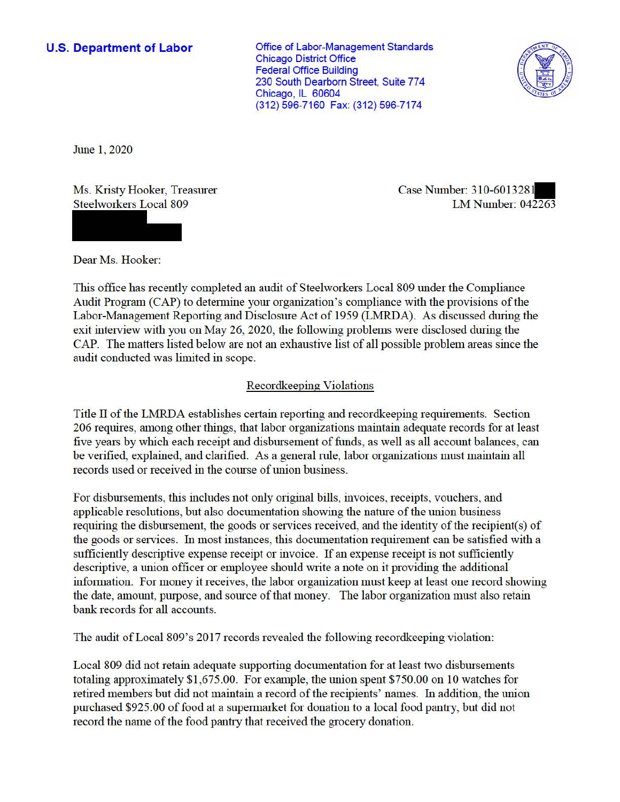## **U.S. Department of Labor**

Office of Labor-Management Standards Chicago District Office Federal Office Building 230 South Dearborn Street, Suite 774 Chicago, IL 60604 (312) 596-7160 Fax: (312) 596-7174



June 1, 2020

Ms. Kristy Hooker, Treasurer Steelworkers Local 809

Case Number: 310-6013281 LM Number: 042263

Dear Ms. Hooker:

This office has recently completed an audit of Steelworkers Local 809 under the Compliance Audit Program (CAP) to determine your organization's compliance with the provisions of the Labor-Management Reporting and Disclosure Act of 1959 (LMRDA). As discussed during the exit interview with you on May 26, 2020, the following problems were disclosed during the CAP. The matters listed below are not an exhaustive list of all possible problem areas since the audit conducted was limited in scope.

## Recordkeeping Violations

Title II of the LMRDA establishes certain reporting and recordkeeping requirements. Section 206 requires, among other things, that labor organizations maintain adequate records for at least five years by which each receipt and disbursement of funds, as well as all account balances, can be verified, explained, and clarified. As a general rule, labor organizations must maintain all records used or received in the course of union business.

For disbursements, this includes not only original bills, invoices, receipts, vouchers, and applicable resolutions, but also documentation showing the nature of the union business requiring the disbursement, the goods or services received, and the identity of the recipient(s) of the goods or services. In most instances, this documentation requirement can be satisfied with a sufficiently descriptive expense receipt or invoice. If an expense receipt is not sufficiently descriptive, a union officer or employee should write a note on it providing the additional information. For money it receives, the labor organization must keep at least one record showing the date, amount, purpose, and source of that money. The labor organization must also retain bank records for all accounts.

The audit ofLocal 809's 2017 records revealed the following recordkeeping violation:

Local 809 did not retain adequate supporting documentation for at least two disbursements totaling approximately \$1 ,675.00. For example, the union spent \$750.00 on 10 watches for retired members but did not maintain a record of the recipients' names. In addition, the union purchased \$925.00 of food at a supermarket for donation to a local food pantry, but did not record the name of the food pantry that received the grocery donation.